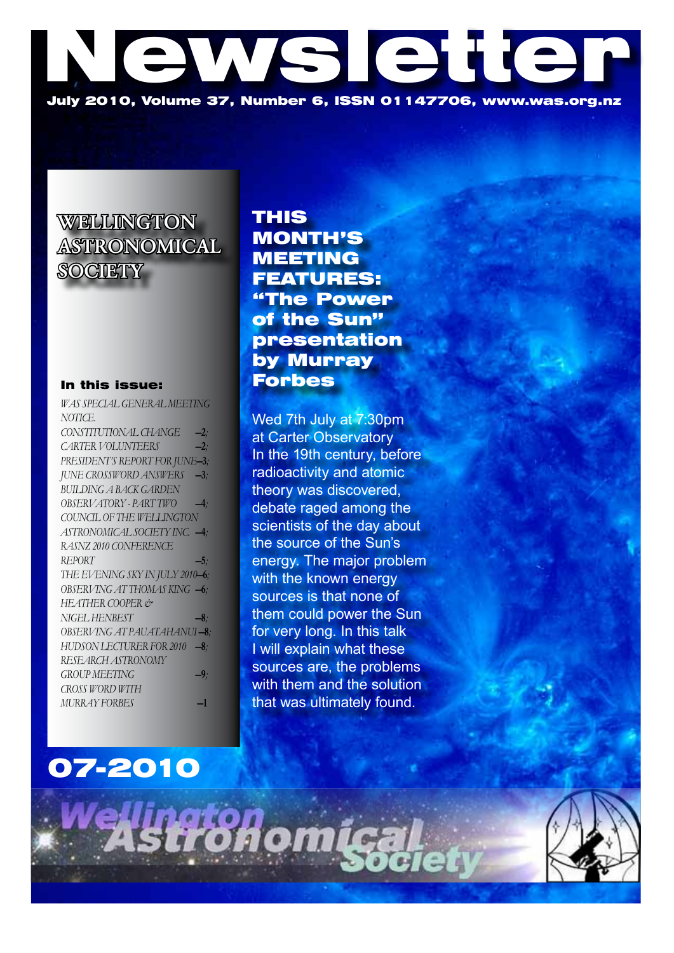# WS QHQ July 2010, Volume 37, Number 6, ISSN 01147706, www.was.org.nz

**WELLINGTON** ASTRONOMICAL **SOCIETY** 

### In this issue:

| WAS SPECIAL GENERAL MEETING     |        |
|---------------------------------|--------|
| NOTICE.                         |        |
| CONSTITUTIONAL CHANGE           | $-2$ ; |
| <b>CARTER VOLUNTEERS</b>        | $-2$ : |
| PRESIDENT'S REPORT FOR JUNE-3;  |        |
| JUNE CROSSWORD ANSWERS -3;      |        |
| <b>BUILDING A BACK GARDEN</b>   |        |
| OBSERVATORY - PART TWO          | $-4;$  |
| COUNCIL OF THE WELLINGTON       |        |
| ASTRONOMICAL SOCIETY INC. -4:   |        |
| RASNZ 2010 CONFERENCE           |        |
|                                 |        |
| REPORT                          | $-5:$  |
| THE EVENING SKY IN JULY 2010-6; |        |
| OBSERVING AT THOMAS KING -6;    |        |
| HEATHER COOPER &                |        |
| NIGEL HENBEST                   | $-8:$  |
| OBSERVING AT PAUATAHANUI-8;     |        |
| HUDSON LECTURER FOR 2010 -8;    |        |
| RESEARCH ASTRONOMY              |        |
| <b>GROUP MEETING</b>            | $-9$   |
| CROSS WORD WITH                 |        |
| MURRAY FORBES                   | -1     |

THIS MONTH'S MEETING FEATURES: "The Power of the Sun" presentation by Murray Forbes

Wed 7th July at 7:30pm at Carter Observatory In the 19th century, before radioactivity and atomic theory was discovered, debate raged among the scientists of the day about the source of the Sun's energy. The major problem with the known energy sources is that none of them could power the Sun for very long. In this talk I will explain what these sources are, the problems with them and the solution that was ultimately found.

## 07-2010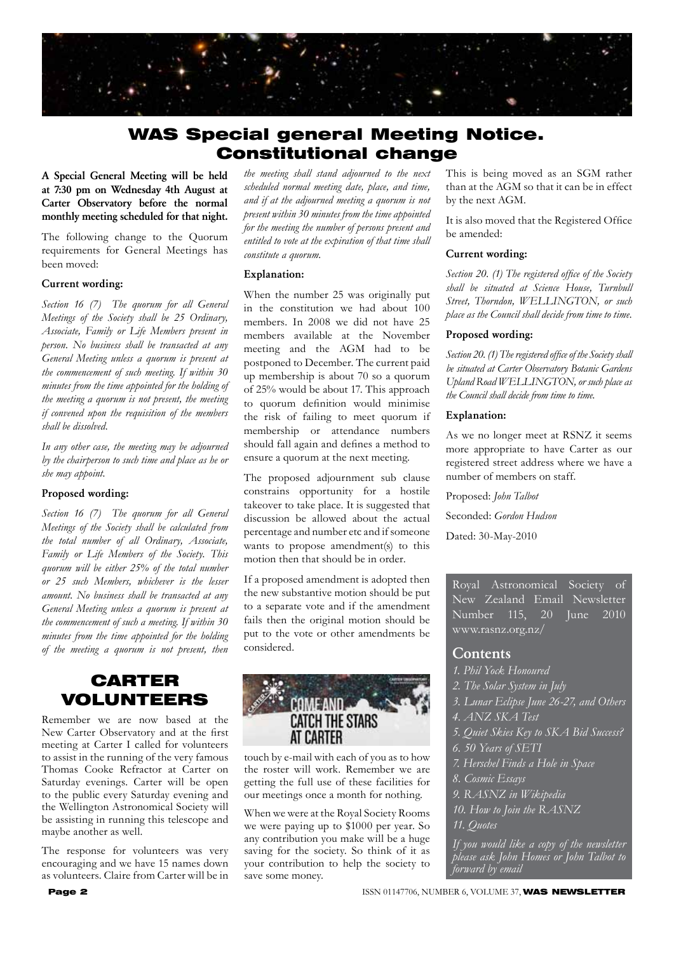

### WAS Special general Meeting Notice. Constitutional change

A Special General Meeting will be held at 7:30 pm on Wednesday 4th August at Carter Observatory before the normal monthly meeting scheduled for that night.

The following change to the Quorum requirements for General Meetings has been moved:

#### Current wording:

*Section 16 (7) The quorum for all General Meetings of the Society shall be 25 Ordinary, Associate, Family or Life Members present in person. No business shall be transacted at any General Meeting unless a quorum is present at the commencement of such meeting. If within 30 minutes from the time appointed for the holding of the meeting a quorum is not present, the meeting if convened upon the requisition of the members shall be dissolved.*

*In any other case, the meeting may be adjourned by the chairperson to such time and place as he or she may appoint.*

### Proposed wording:

*Section 16 (7) The quorum for all General Meetings of the Society shall be calculated from the total number of all Ordinary, Associate, Family or Life Members of the Society. This quorum will be either 25% of the total number or 25 such Members, whichever is the lesser amount. No business shall be transacted at any General Meeting unless a quorum is present at the commencement of such a meeting. If within 30 minutes from the time appointed for the holding of the meeting a quorum is not present, then* 

### CARTER VOLUNTEERS

Remember we are now based at the New Carter Observatory and at the first meeting at Carter I called for volunteers to assist in the running of the very famous Thomas Cooke Refractor at Carter on Saturday evenings. Carter will be open to the public every Saturday evening and the Wellington Astronomical Society will be assisting in running this telescope and maybe another as well.

The response for volunteers was very encouraging and we have 15 names down as volunteers. Claire from Carter will be in

*the meeting shall stand adjourned to the next scheduled normal meeting date, place, and time, and if at the adjourned meeting a quorum is not present within 30 minutes from the time appointed for the meeting the number of persons present and entitled to vote at the expiration of that time shall constitute a quorum.*

#### Explanation:

When the number 25 was originally put in the constitution we had about 100 members. In 2008 we did not have 25 members available at the November meeting and the AGM had to be postponed to December. The current paid up membership is about 70 so a quorum of 25% would be about 17. This approach to quorum definition would minimise the risk of failing to meet quorum if membership or attendance numbers should fall again and defines a method to ensure a quorum at the next meeting.

The proposed adjournment sub clause constrains opportunity for a hostile takeover to take place. It is suggested that discussion be allowed about the actual percentage and number etc and if someone wants to propose amendment(s) to this motion then that should be in order.

If a proposed amendment is adopted then the new substantive motion should be put to a separate vote and if the amendment fails then the original motion should be put to the vote or other amendments be considered.



touch by e-mail with each of you as to how the roster will work. Remember we are getting the full use of these facilities for our meetings once a month for nothing.

When we were at the Royal Society Rooms we were paying up to \$1000 per year. So any contribution you make will be a huge saving for the society. So think of it as your contribution to help the society to save some money.

This is being moved as an SGM rather than at the AGM so that it can be in effect by the next AGM.

It is also moved that the Registered Office be amended:

#### Current wording:

*Section 20. (1) The registered office of the Society shall be situated at Science House, Turnbull Street, Thorndon, WELLINGTON, or such place as the Council shall decide from time to time.*

### Proposed wording:

*Section 20. (1) The registered office of the Society shall be situated at Carter Observatory Botanic Gardens Upland Road WELLINGTON, or such place as the Council shall decide from time to time.*

#### Explanation:

As we no longer meet at RSNZ it seems more appropriate to have Carter as our registered street address where we have a number of members on staff.

Proposed: *John Talbot* Seconded: *Gordon Hudson* Dated: 30-May-2010

Royal Astronomical Society of New Zealand Email Newsletter Number 115, 20 June 2010 www.rasnz.org.nz/

### **Contents**

- *1. Phil Yock Honoured*
- *2. The Solar System in July*
- *3. Lunar Eclipse June 26-27, and Others*
- *4. ANZ SKA Test*
- *5. Quiet Skies Key to SKA Bid Success?*
- *6. 50 Years of SETI*
- *7. Herschel Finds a Hole in Space*
- *8. Cosmic Essays*
- *9. RASNZ in Wikipedia*

*10. How to Join the RASNZ*

*11. Quotes*

*If you would like a copy of the newsletter please ask John Homes or John Talbot to forward by email*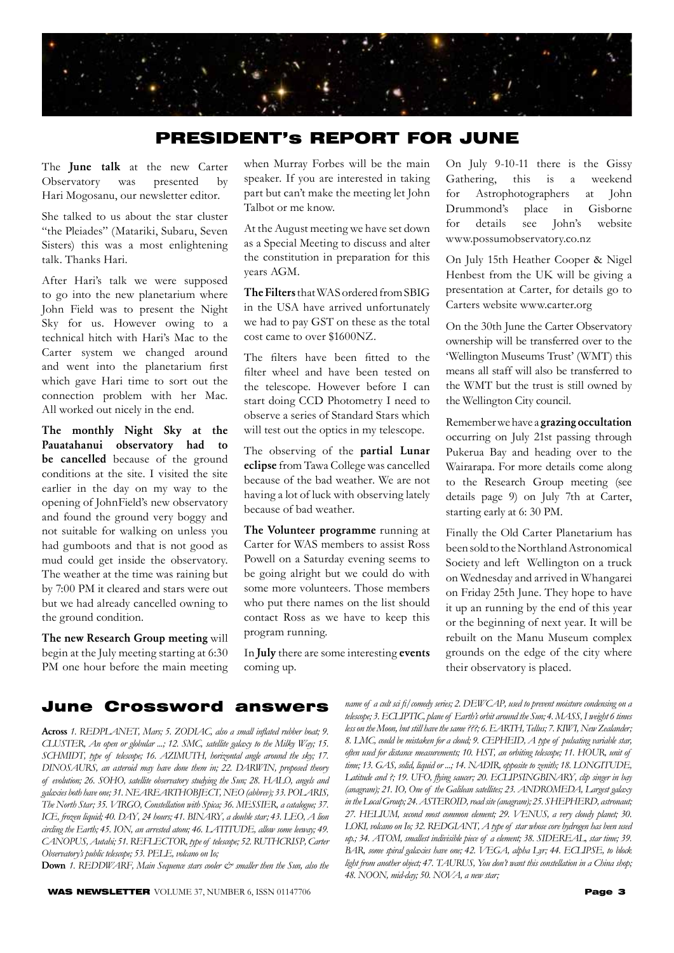

### PRESIDENT's REPORT FOR JUNE

The June talk at the new Carter Observatory was presented by Hari Mogosanu, our newsletter editor.

She talked to us about the star cluster "the Pleiades" (Matariki, Subaru, Seven Sisters) this was a most enlightening talk. Thanks Hari.

After Hari's talk we were supposed to go into the new planetarium where John Field was to present the Night Sky for us. However owing to a technical hitch with Hari's Mac to the Carter system we changed around and went into the planetarium first which gave Hari time to sort out the connection problem with her Mac. All worked out nicely in the end.

The monthly Night Sky at the Pauatahanui observatory had to be cancelled because of the ground conditions at the site. I visited the site earlier in the day on my way to the opening of JohnField's new observatory and found the ground very boggy and not suitable for walking on unless you had gumboots and that is not good as mud could get inside the observatory. The weather at the time was raining but by 7:00 PM it cleared and stars were out but we had already cancelled owning to the ground condition.

The new Research Group meeting will begin at the July meeting starting at 6:30 PM one hour before the main meeting

when Murray Forbes will be the main speaker. If you are interested in taking part but can't make the meeting let John Talbot or me know.

At the August meeting we have set down as a Special Meeting to discuss and alter the constitution in preparation for this years AGM.

The Filters that WAS ordered from SBIG in the USA have arrived unfortunately we had to pay GST on these as the total cost came to over \$1600NZ.

The filters have been fitted to the filter wheel and have been tested on the telescope. However before I can start doing CCD Photometry I need to observe a series of Standard Stars which will test out the optics in my telescope.

The observing of the partial Lunar eclipse from Tawa College was cancelled because of the bad weather. We are not having a lot of luck with observing lately because of bad weather.

The Volunteer programme running at Carter for WAS members to assist Ross Powell on a Saturday evening seems to be going alright but we could do with some more volunteers. Those members who put there names on the list should contact Ross as we have to keep this program running.

In July there are some interesting events coming up.

On July 9-10-11 there is the Gissy Gathering, this is a weekend for Astrophotographers at John Drummond's place in Gisborne for details see John's website www.possumobservatory.co.nz

On July 15th Heather Cooper & Nigel Henbest from the UK will be giving a presentation at Carter, for details go to Carters website www.carter.org

On the 30th June the Carter Observatory ownership will be transferred over to the 'Wellington Museums Trust' (WMT) this means all staff will also be transferred to the WMT but the trust is still owned by the Wellington City council.

Remember we have a grazing occultation occurring on July 21st passing through Pukerua Bay and heading over to the Wairarapa. For more details come along to the Research Group meeting (see details page 9) on July 7th at Carter, starting early at 6: 30 PM.

Finally the Old Carter Planetarium has been sold to the Northland Astronomical Society and left Wellington on a truck on Wednesday and arrived in Whangarei on Friday 25th June. They hope to have it up an running by the end of this year or the beginning of next year. It will be rebuilt on the Manu Museum complex grounds on the edge of the city where their observatory is placed.

### June Crossword answers *name of a cult sci fi/comedy series; 2. DEWCAP' used to prevent moisture condensing on a*

Across 1. REDPLANET, Mars; 5. ZODIAC, also a small inflated rubber boat; 9. *CLUSTER' An open or globular ...; 12. SMC' satellite galaxy to the Milky Way; 15.*  SCHMIDT, type of telescope; 16. AZIMUTH, horizontal angle around the sky; 17. *DINOSAURS' an asteroid may have done them in; 22. DARWIN' proposed theory*  of evolution; 26. SOHO, satellite observatory studying the Sun; 28. HALO, angels and galaxies both have one; 31. NEAREARTHOBJECT, NEO (abbrev); 33. POLARIS, The North Star; 35. VIRGO, Constellation with Spica; 36. MESSIER, a catalogue; 37. *ICE' frozen liquid; 40. DAY' 24 hours; 41. BINARY' a double star; 43. LEO' A lion circling the Earth; 45. ION, an arrested atom; 46. LATITUDE, allow some leeway; 49.* CANOPUS, Autahi; 51. REFLECTOR, type of telescope; 52. RUTHCRISP, Carter *Observatory's public telescope; 53. PELE' volcano on Io;*

Down 1. REDDWARF, Main Sequence stars cooler  $\mathcal C^*$  smaller then the Sun, also the

**WAS NEWSLETTER** VOLUME 37, NUMBER 6, ISSN 01147706 **Page 3** 

telescope; 3. ECLIPTIC, plane of Earth's orbit around the Sun; 4. MASS, I weight 6 times less on the Moon, but still have the same ???; 6. EARTH, Tellus; 7. KIWI, New Zealander; *8. LMC' could be mistaken for a cloud; 9. CEPHEID' A type of pulsating variable star,*  often used for distance measurements; 10. HST, an orbiting telescope; 11. HOUR, unit of time; 13. GAS, solid, liquid or ...; 14. NADIR, opposite to zenith; 18. LONGITUDE, Latitude and ?; 19. UFO, flying saucer; 20. ECLIPSINGBINARY, clip singer in bay (anagram); 21. IO, One of the Galilean satellites; 23. ANDROMEDA, Largest galaxy *in the Local Group; 24. ASTEROID' road site (anagram); 25. SHEPHERD' astronaut; 27. HELIUM' second most common element; 29. VENUS' a very cloudy planet; 30.*  LOKI, volcano on Io; 32. REDGIANT, A type of star whose core hydrogen has been used up.; 34. ATOM, smallest indivisible piece of a element; 38. SIDEREAL, star time; 39. BAR, some spiral galaxies have one; 42. *VEGA*, alpha Lyr; 44. ECLIPSE, to block light from another object; 47. TAURUS, You don't want this constellation in a China shop; 48. NOON, mid-day; 50. NOVA, a new star;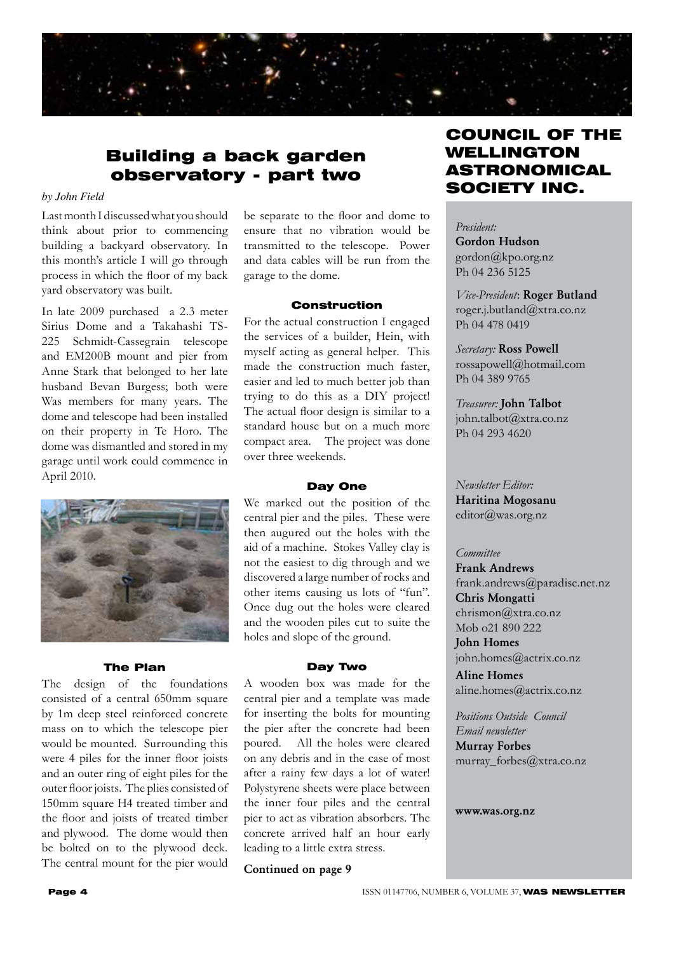

### Building a back garden observatory - part two

### *by John Field*

Last month I discussed what you should think about prior to commencing building a backyard observatory. In this month's article I will go through process in which the floor of my back yard observatory was built.

In late 2009 purchased a 2.3 meter Sirius Dome and a Takahashi TS-225 Schmidt-Cassegrain telescope and EM200B mount and pier from Anne Stark that belonged to her late husband Bevan Burgess; both were Was members for many years. The dome and telescope had been installed on their property in Te Horo. The dome was dismantled and stored in my garage until work could commence in April 2010.



#### The Plan

The design of the foundations consisted of a central 650mm square by 1m deep steel reinforced concrete mass on to which the telescope pier would be mounted. Surrounding this were 4 piles for the inner floor joists and an outer ring of eight piles for the outer floor joists. The plies consisted of 150mm square H4 treated timber and the floor and joists of treated timber and plywood. The dome would then be bolted on to the plywood deck. The central mount for the pier would

be separate to the floor and dome to ensure that no vibration would be transmitted to the telescope. Power and data cables will be run from the garage to the dome.

#### Construction

For the actual construction I engaged the services of a builder, Hein, with myself acting as general helper. This made the construction much faster, easier and led to much better job than trying to do this as a DIY project! The actual floor design is similar to a standard house but on a much more compact area. The project was done over three weekends.

#### Day One

We marked out the position of the central pier and the piles. These were then augured out the holes with the aid of a machine. Stokes Valley clay is not the easiest to dig through and we discovered a large number of rocks and other items causing us lots of "fun". Once dug out the holes were cleared and the wooden piles cut to suite the holes and slope of the ground.

#### Day Two

A wooden box was made for the central pier and a template was made for inserting the bolts for mounting the pier after the concrete had been poured. All the holes were cleared on any debris and in the case of most after a rainy few days a lot of water! Polystyrene sheets were place between the inner four piles and the central pier to act as vibration absorbers. The concrete arrived half an hour early leading to a little extra stress.

Continued on page 9

### COUNCIL OF THE WELLINGTON ASTRONOMICAL SOCIETY INC.

*President:*  Gordon Hudson gordon@kpo.org.nz Ph 04 236 5125

*Vice-President*: Roger Butland roger.j.butland@xtra.co.nz Ph 04 478 0419

*Secretary:* Ross Powell rossapowell@hotmail.com Ph 04 389 9765

*Treasurer:* John Talbot john.talbot@xtra.co.nz Ph 04 293 4620

*Newsletter Editor:*  Haritina Mogosanu editor@was.org.nz

### *Committee*

Frank Andrews frank.andrews@paradise.net.nz Chris Mongatti chrismon@xtra.co.nz Mob o<sup>21</sup> 890 222 John Homes

john.homes@actrix.co.nz

Aline Homes aline.homes@actrix.co.nz

*Positions Outside Council Email newsletter* Murray Forbes murray\_forbes@xtra.co.nz

www.was.org.nz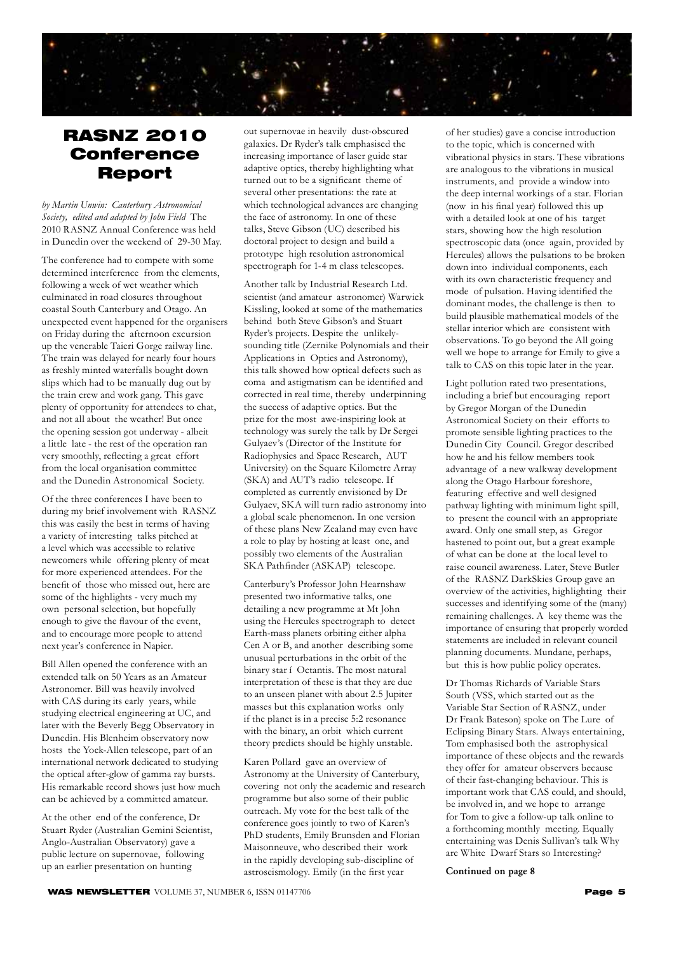

### RASNZ 2010 Conference Report

*by Martin Unwin: Canterbury Astronomical Society, edited and adapted by John Field* The 2010 RASNZ Annual Conference was held in Dunedin over the weekend of 29-30 May.

The conference had to compete with some determined interference from the elements, following a week of wet weather which culminated in road closures throughout coastal South Canterbury and Otago. An unexpected event happened for the organisers on Friday during the afternoon excursion up the venerable Taieri Gorge railway line. The train was delayed for nearly four hours as freshly minted waterfalls bought down slips which had to be manually dug out by the train crew and work gang. This gave plenty of opportunity for attendees to chat, and not all about the weather! But once the opening session got underway - albeit a little late - the rest of the operation ran very smoothly, reflecting a great effort from the local organisation committee and the Dunedin Astronomical Society.

Of the three conferences I have been to during my brief involvement with RASNZ this was easily the best in terms of having a variety of interesting talks pitched at a level which was accessible to relative newcomers while offering plenty of meat for more experienced attendees. For the benefit of those who missed out, here are some of the highlights - very much my own personal selection, but hopefully enough to give the flavour of the event, and to encourage more people to attend next year's conference in Napier.

Bill Allen opened the conference with an extended talk on 50 Years as an Amateur Astronomer. Bill was heavily involved with CAS during its early years, while studying electrical engineering at UC, and later with the Beverly Begg Observatory in Dunedin. His Blenheim observatory now hosts the Yock-Allen telescope, part of an international network dedicated to studying the optical after-glow of gamma ray bursts. His remarkable record shows just how much can be achieved by a committed amateur.

At the other end of the conference, Dr Stuart Ryder (Australian Gemini Scientist, Anglo-Australian Observatory) gave a public lecture on supernovae, following up an earlier presentation on hunting

out supernovae in heavily dust-obscured galaxies. Dr Ryder's talk emphasised the increasing importance of laser guide star adaptive optics, thereby highlighting what turned out to be a significant theme of several other presentations: the rate at which technological advances are changing the face of astronomy. In one of these talks, Steve Gibson (UC) described his doctoral project to design and build a prototype high resolution astronomical spectrograph for 1-4 m class telescopes.

Another talk by Industrial Research Ltd. scientist (and amateur astronomer) Warwick Kissling, looked at some of the mathematics behind both Steve Gibson's and Stuart Ryder's projects. Despite the unlikelysounding title (Zernike Polynomials and their Applications in Optics and Astronomy), this talk showed how optical defects such as coma and astigmatism can be identified and corrected in real time, thereby underpinning the success of adaptive optics. But the prize for the most awe-inspiring look at technology was surely the talk by Dr Sergei Gulyaev's (Director of the Institute for Radiophysics and Space Research, AUT University) on the Square Kilometre Array (SKA) and AUT's radio telescope. If completed as currently envisioned by Dr Gulyaev, SKA will turn radio astronomy into a global scale phenomenon. In one version of these plans New Zealand may even have a role to play by hosting at least one, and possibly two elements of the Australian SKA Pathfinder (ASKAP) telescope.

Canterbury's Professor John Hearnshaw presented two informative talks, one detailing a new programme at Mt John using the Hercules spectrograph to detect Earth-mass planets orbiting either alpha Cen A or B, and another describing some unusual perturbations in the orbit of the binary star í Octantis. The most natural interpretation of these is that they are due to an unseen planet with about 2.5 Jupiter masses but this explanation works only if the planet is in a precise 5:2 resonance with the binary, an orbit which current theory predicts should be highly unstable.

Karen Pollard gave an overview of Astronomy at the University of Canterbury, covering not only the academic and research programme but also some of their public outreach. My vote for the best talk of the conference goes jointly to two of Karen's PhD students, Emily Brunsden and Florian Maisonneuve, who described their work in the rapidly developing sub-discipline of astroseismology. Emily (in the first year

of her studies) gave a concise introduction to the topic, which is concerned with vibrational physics in stars. These vibrations are analogous to the vibrations in musical instruments, and provide a window into the deep internal workings of a star. Florian (now in his final year) followed this up with a detailed look at one of his target stars, showing how the high resolution spectroscopic data (once again, provided by Hercules) allows the pulsations to be broken down into individual components, each with its own characteristic frequency and mode of pulsation. Having identified the dominant modes, the challenge is then to build plausible mathematical models of the stellar interior which are consistent with observations. To go beyond the All going well we hope to arrange for Emily to give a talk to CAS on this topic later in the year.

Light pollution rated two presentations, including a brief but encouraging report by Gregor Morgan of the Dunedin Astronomical Society on their efforts to promote sensible lighting practices to the Dunedin City Council. Gregor described how he and his fellow members took advantage of a new walkway development along the Otago Harbour foreshore, featuring effective and well designed pathway lighting with minimum light spill, to present the council with an appropriate award. Only one small step, as Gregor hastened to point out, but a great example of what can be done at the local level to raise council awareness. Later, Steve Butler of the RASNZ DarkSkies Group gave an overview of the activities, highlighting their successes and identifying some of the (many) remaining challenges. A key theme was the importance of ensuring that properly worded statements are included in relevant council planning documents. Mundane, perhaps, but this is how public policy operates.

Dr Thomas Richards of Variable Stars South (VSS, which started out as the Variable Star Section of RASNZ, under Dr Frank Bateson) spoke on The Lure of Eclipsing Binary Stars. Always entertaining, Tom emphasised both the astrophysical importance of these objects and the rewards they offer for amateur observers because of their fast-changing behaviour. This is important work that CAS could, and should, be involved in, and we hope to arrange for Tom to give a follow-up talk online to a forthcoming monthly meeting. Equally entertaining was Denis Sullivan's talk Why are White Dwarf Stars so Interesting?

Continued on page 8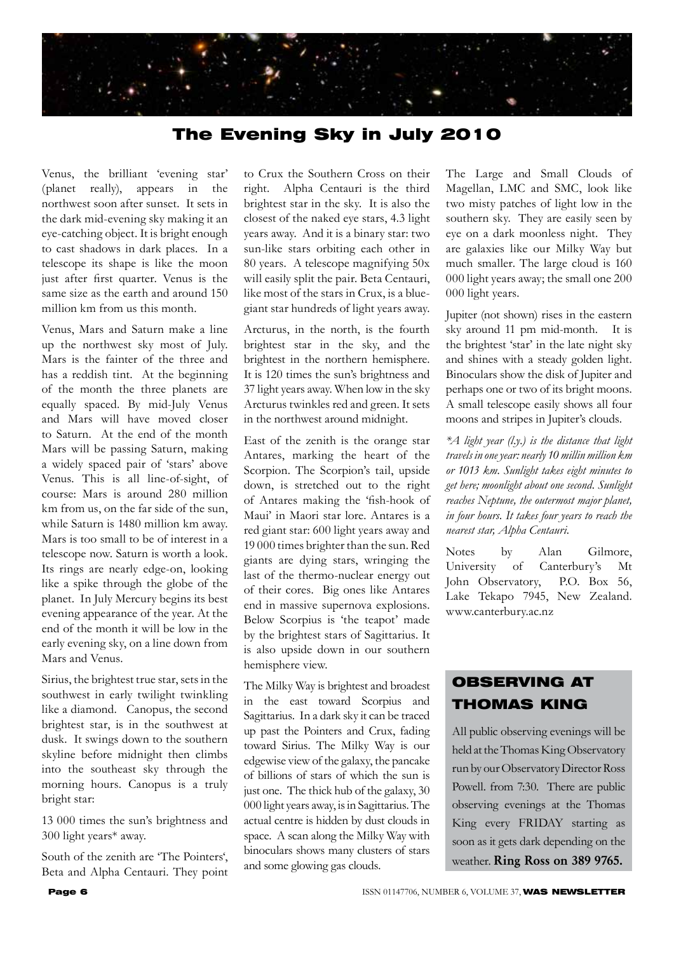

### The Evening Sky in July 2010

Venus, the brilliant 'evening star' (planet really), appears in the northwest soon after sunset. It sets in the dark mid-evening sky making it an eye-catching object. It is bright enough to cast shadows in dark places. In a telescope its shape is like the moon just after first quarter. Venus is the same size as the earth and around 150 million km from us this month.

Venus, Mars and Saturn make a line up the northwest sky most of July. Mars is the fainter of the three and has a reddish tint. At the beginning of the month the three planets are equally spaced. By mid-July Venus and Mars will have moved closer to Saturn. At the end of the month Mars will be passing Saturn, making a widely spaced pair of 'stars' above Venus. This is all line-of-sight, of course: Mars is around 280 million km from us, on the far side of the sun, while Saturn is 1480 million km away. Mars is too small to be of interest in a telescope now. Saturn is worth a look. Its rings are nearly edge-on, looking like a spike through the globe of the planet. In July Mercury begins its best evening appearance of the year. At the end of the month it will be low in the early evening sky, on a line down from Mars and Venus.

Sirius, the brightest true star, sets in the southwest in early twilight twinkling like a diamond. Canopus, the second brightest star, is in the southwest at dusk. It swings down to the southern skyline before midnight then climbs into the southeast sky through the morning hours. Canopus is a truly bright star:

13 000 times the sun's brightness and 300 light years\* away.

South of the zenith are 'The Pointers', Beta and Alpha Centauri. They point

to Crux the Southern Cross on their right. Alpha Centauri is the third brightest star in the sky. It is also the closest of the naked eye stars, 4.3 light years away. And it is a binary star: two sun-like stars orbiting each other in 80 years. A telescope magnifying 50x will easily split the pair. Beta Centauri, like most of the stars in Crux, is a bluegiant star hundreds of light years away.

Arcturus, in the north, is the fourth brightest star in the sky, and the brightest in the northern hemisphere. It is 120 times the sun's brightness and 37 light years away. When low in the sky Arcturus twinkles red and green. It sets in the northwest around midnight.

East of the zenith is the orange star Antares, marking the heart of the Scorpion. The Scorpion's tail, upside down, is stretched out to the right of Antares making the 'fish-hook of Maui' in Maori star lore. Antares is a red giant star: 600 light years away and 19 000 times brighter than the sun. Red giants are dying stars, wringing the last of the thermo-nuclear energy out of their cores. Big ones like Antares end in massive supernova explosions. Below Scorpius is 'the teapot' made by the brightest stars of Sagittarius. It is also upside down in our southern hemisphere view.

The Milky Way is brightest and broadest in the east toward Scorpius and Sagittarius. In a dark sky it can be traced up past the Pointers and Crux, fading toward Sirius. The Milky Way is our edgewise view of the galaxy, the pancake of billions of stars of which the sun is just one. The thick hub of the galaxy, 30 000 light years away, is in Sagittarius. The actual centre is hidden by dust clouds in space. A scan along the Milky Way with binoculars shows many clusters of stars and some glowing gas clouds.

The Large and Small Clouds of Magellan, LMC and SMC, look like two misty patches of light low in the southern sky. They are easily seen by eye on a dark moonless night. They are galaxies like our Milky Way but much smaller. The large cloud is 160 000 light years away; the small one 200 000 light years.

Jupiter (not shown) rises in the eastern sky around 11 pm mid-month. It is the brightest 'star' in the late night sky and shines with a steady golden light. Binoculars show the disk of Jupiter and perhaps one or two of its bright moons. A small telescope easily shows all four moons and stripes in Jupiter's clouds.

*\*A light year (l.y.) is the distance that light travels in one year: nearly 10 millin million km or 1013 km. Sunlight takes eight minutes to get here; moonlight about one second. Sunlight reaches Neptune, the outermost major planet, in four hours. It takes four years to reach the nearest star, Alpha Centauri.*

Notes by Alan Gilmore, University of Canterbury's Mt John Observatory, P.O. Box 56, Lake Tekapo 7945, New Zealand. www.canterbury.ac.nz

### OBSERVING AT THOMAS KING

All public observing evenings will be held at the Thomas King Observatory run by our Observatory Director Ross Powell. from 7:30. There are public observing evenings at the Thomas King every FRIDAY starting as soon as it gets dark depending on the weather. Ring Ross on 389 9765.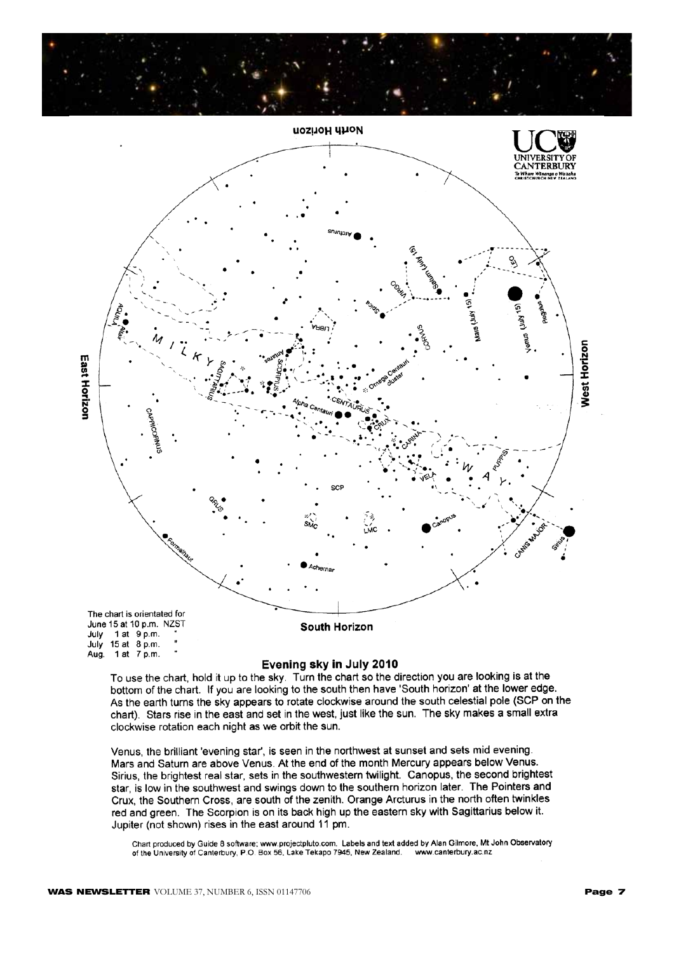



#### Evening sky in July 2010

To use the chart, hold it up to the sky. Turn the chart so the direction you are looking is at the bottom of the chart. If you are looking to the south then have 'South horizon' at the lower edge. As the earth turns the sky appears to rotate clockwise around the south celestial pole (SCP on the chart). Stars rise in the east and set in the west, just like the sun. The sky makes a small extra clockwise rotation each night as we orbit the sun.

Venus, the brilliant 'evening star', is seen in the northwest at sunset and sets mid evening. Mars and Saturn are above Venus. At the end of the month Mercury appears below Venus. Sirius, the brightest real star, sets in the southwestern twilight. Canopus, the second brightest star, is low in the southwest and swings down to the southern horizon later. The Pointers and Crux, the Southern Cross, are south of the zenith. Orange Arcturus in the north often twinkles red and green. The Scorpion is on its back high up the eastern sky with Sagittarius below it. Jupiter (not shown) rises in the east around 11 pm.

Chart produced by Guide 8 software; www.projectpluto.com. Labels and text added by Alan Gilmore, Mt John Observatory<br>of the University of Canterbury, P.O. Box 56, Lake Tekapo 7945, New Zealand. www.canterbury.ac.nz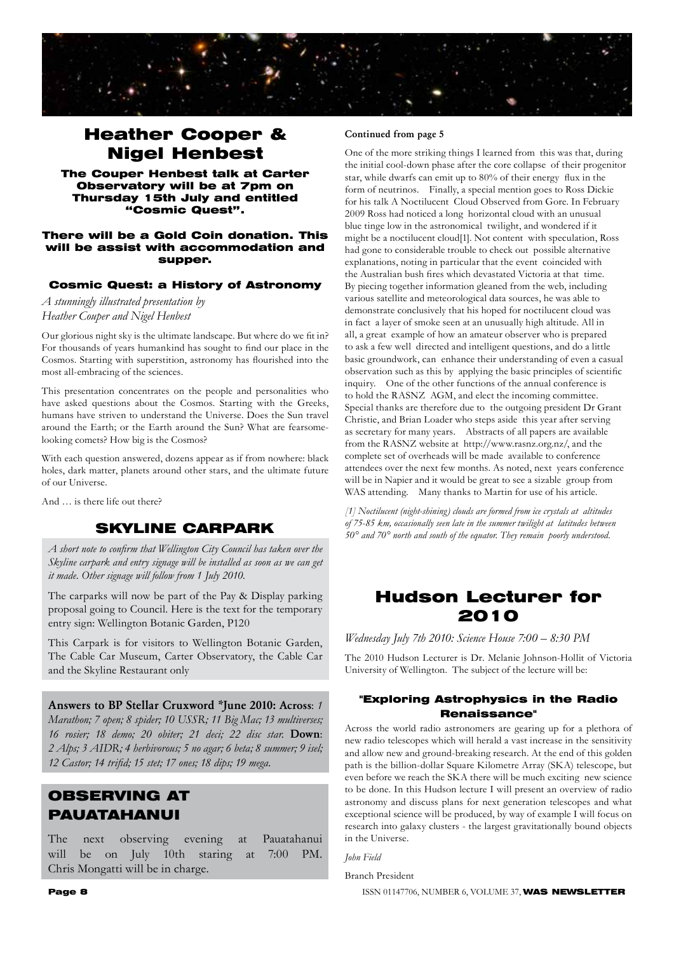

### Heather Cooper & Nigel Henbest

The Couper Henbest talk at Carter Observatory will be at 7pm on Thursday 15th July and entitled "Cosmic Quest".

#### There will be a Gold Coin donation. This will be assist with accommodation and supper.

### Cosmic Quest: a History of Astronomy

*A stunningly illustrated presentation by Heather Couper and Nigel Henbest*

Our glorious night sky is the ultimate landscape. But where do we fit in? For thousands of years humankind has sought to find our place in the Cosmos. Starting with superstition, astronomy has flourished into the most all-embracing of the sciences.

This presentation concentrates on the people and personalities who have asked questions about the Cosmos. Starting with the Greeks, humans have striven to understand the Universe. Does the Sun travel around the Earth; or the Earth around the Sun? What are fearsomelooking comets? How big is the Cosmos?

With each question answered, dozens appear as if from nowhere: black holes, dark matter, planets around other stars, and the ultimate future of our Universe.

And … is there life out there?

### SKYLINE CARPARK

*A short note to confirm that Wellington City Council has taken over the Skyline carpark and entry signage will be installed as soon as we can get it made. Other signage will follow from 1 July 2010.*

The carparks will now be part of the Pay & Display parking proposal going to Council. Here is the text for the temporary entry sign: Wellington Botanic Garden, P120

This Carpark is for visitors to Wellington Botanic Garden, The Cable Car Museum, Carter Observatory, the Cable Car and the Skyline Restaurant only

Answers to BP Stellar Cruxword \*June 2010: Across: *1 Marathon; 7 open; 8 spider; 10 USSR; 11 Big Mac; 13 multiverses; 16 rosier; 18 demo; 20 obiter; 21 deci; 22 disc star.* Down: *2 Alps; 3 AIDR; 4 herbivorous; 5 no agar; 6 beta; 8 summer; 9 isel; 12 Castor; 14 trifid; 15 stet; 17 ones; 18 dips; 19 mega.*

### OBSERVING AT PAUATAHANUI

The next observing evening at Pauatahanui will be on July 10th staring at 7:00 PM. Chris Mongatti will be in charge.

#### Continued from page 5

One of the more striking things I learned from this was that, during the initial cool-down phase after the core collapse of their progenitor star, while dwarfs can emit up to 80% of their energy flux in the form of neutrinos. Finally, a special mention goes to Ross Dickie for his talk A Noctilucent Cloud Observed from Gore. In February 2009 Ross had noticed a long horizontal cloud with an unusual blue tinge low in the astronomical twilight, and wondered if it might be a noctilucent cloud[1]. Not content with speculation, Ross had gone to considerable trouble to check out possible alternative explanations, noting in particular that the event coincided with the Australian bush fires which devastated Victoria at that time. By piecing together information gleaned from the web, including various satellite and meteorological data sources, he was able to demonstrate conclusively that his hoped for noctilucent cloud was in fact a layer of smoke seen at an unusually high altitude. All in all, a great example of how an amateur observer who is prepared to ask a few well directed and intelligent questions, and do a little basic groundwork, can enhance their understanding of even a casual observation such as this by applying the basic principles of scientific inquiry. One of the other functions of the annual conference is to hold the RASNZ AGM, and elect the incoming committee. Special thanks are therefore due to the outgoing president Dr Grant Christie, and Brian Loader who steps aside this year after serving as secretary for many years. Abstracts of all papers are available from the RASNZ website at http://www.rasnz.org.nz/, and the complete set of overheads will be made available to conference attendees over the next few months. As noted, next years conference will be in Napier and it would be great to see a sizable group from WAS attending. Many thanks to Martin for use of his article.

*[1] Noctilucent (night-shining) clouds are formed from ice crystals at altitudes of 75-85 km, occasionally seen late in the summer twilight at latitudes between 50° and 70° north and south of the equator. They remain poorly understood.* 

### Hudson Lecturer for 2010

*Wednesday July 7th 2010: Science House 7:00 – 8:30 PM*

The 2010 Hudson Lecturer is Dr. Melanie Johnson-Hollit of Victoria University of Wellington. The subject of the lecture will be:

### "Exploring Astrophysics in the Radio Renaissance"

Across the world radio astronomers are gearing up for a plethora of new radio telescopes which will herald a vast increase in the sensitivity and allow new and ground-breaking research. At the end of this golden path is the billion-dollar Square Kilometre Array (SKA) telescope, but even before we reach the SKA there will be much exciting new science to be done. In this Hudson lecture I will present an overview of radio astronomy and discuss plans for next generation telescopes and what exceptional science will be produced, by way of example I will focus on research into galaxy clusters - the largest gravitationally bound objects in the Universe.

*John Field*

Branch President

**Page 8 ISSN 01147706, NUMBER 6, VOLUME 37, WAS NEWSLETTER**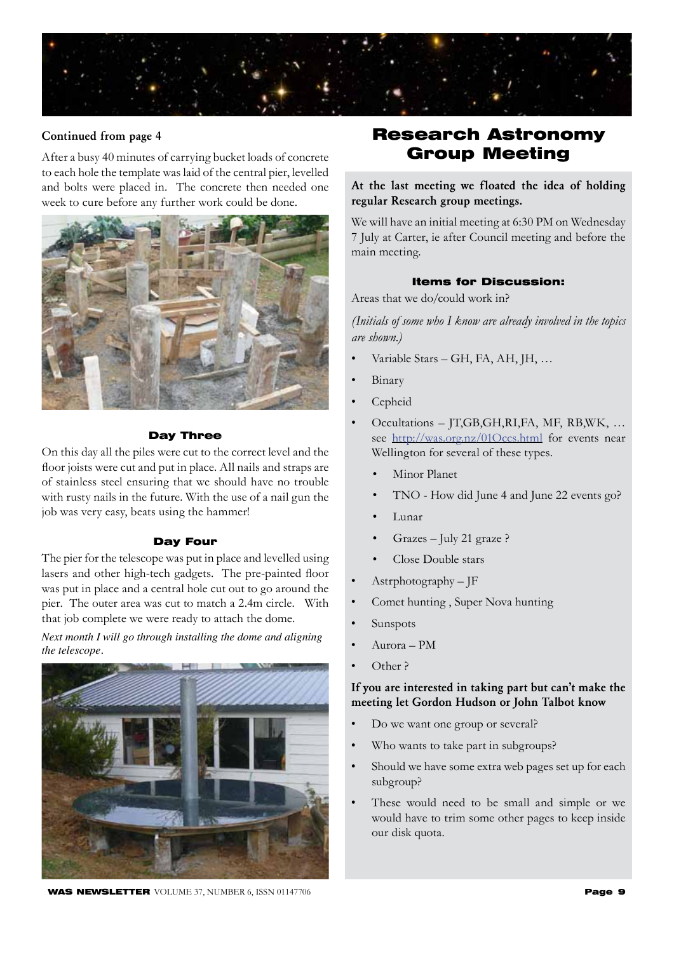

### Continued from page 4

After a busy 40 minutes of carrying bucket loads of concrete to each hole the template was laid of the central pier, levelled and bolts were placed in. The concrete then needed one week to cure before any further work could be done.



#### Day Three

On this day all the piles were cut to the correct level and the floor joists were cut and put in place. All nails and straps are of stainless steel ensuring that we should have no trouble with rusty nails in the future. With the use of a nail gun the job was very easy, beats using the hammer!

#### Day Four

The pier for the telescope was put in place and levelled using lasers and other high-tech gadgets. The pre-painted floor was put in place and a central hole cut out to go around the pier. The outer area was cut to match a 2.4m circle. With that job complete we were ready to attach the dome.

*Next month I will go through installing the dome and aligning the telescope.* 



### Research Astronomy Group Meeting

At the last meeting we floated the idea of holding regular Research group meetings.

We will have an initial meeting at 6:30 PM on Wednesday 7 July at Carter, ie after Council meeting and before the main meeting.

### Items for Discussion:

Areas that we do/could work in?

*(Initials of some who I know are already involved in the topics are shown.)*

- Variable Stars GH, FA, AH, JH, …
- Binary
- Cepheid
- Occultations JT,GB,GH,RI,FA, MF, RB,WK, … see http://was.org.nz/01Occs.html for events near Wellington for several of these types.
	- Minor Planet
	- TNO How did June 4 and June 22 events go?
	- Lunar
	- Grazes July 21 graze ?
	- Close Double stars
- Astrphotography JF
- Comet hunting , Super Nova hunting
- Sunspots
- Aurora PM
- Other ?

### If you are interested in taking part but can't make the meeting let Gordon Hudson or John Talbot know

- Do we want one group or several?
- Who wants to take part in subgroups?
- Should we have some extra web pages set up for each subgroup?
- These would need to be small and simple or we would have to trim some other pages to keep inside our disk quota.

**WAS NEWSLETTER** VOLUME 37, NUMBER 6, ISSN 01147706 **Page 9**